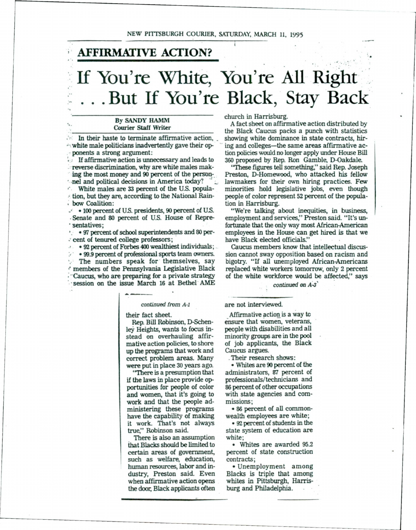## **AFFIRMATIVE ACTION?**

## If You're White, You're All Right ... But If You're Black, Stay Back

Freverse discrimination, why are white males mak-<br>ing the most money and 90 percent of the person-<br>Preston, D-Homewood, who attacked his fellow ing the most money and 90 percent of the person-<br>'-nel and political decisions in America today?

 $\cdot$  tion, but they are, according to the National Rain-: bow Coalition: lion in Harrisburg.

-' • 100 percent of U.S. presidents, 90 percent of U.S. "We're talking about inequities, in business, . sentatives; fortunate that the only way most African-American

•. • 97 percent of school superintendents and 80 per-<br>• employees in the House can get hired is that we<br>• have Black elected officials."

• **92 percent of Forbes 400 wealthiest individuals;** • The numbers speak for themselves, say  $\epsilon$  members of the Pennsylvania Legislative Black ; "Caucus, who are preparing for a private strategy of the white workforce would be affected," says · session on the issue March 16 at Bethel AME continued on A-3<sup>'</sup>

## continued from A-1

their fact sheet.

Rep. Bill Robinson, D-Schenley Heights, wants to focus instead on overhauling affirmative action policies, to shore up the programs that work and correct problem areas. Many were put in place 30 years ago.

''There is a presumption that if the laws in place provide opportunities for people of color and women, that it's going to work and that the people administering these programs have the capability of making it work. That's not always true," Robinson said.

There is also an assumption that Blacks should be limited to certain areas of government, such as welfare, education, human resources, labor and industry, Preston said. Even when affirmative action opens the door, Black applicants often church in Harrisburg.

By SANDY HAMM<br>Courier Staff Writer has a fact sheet on affirmative action distributed by Courier Staff Writer the Black Caucus packs a punch with statistics<br>In their haste to terminate affirmative action, showing white dominance in state contracts, hir-In their haste to terminate affirmative action, showing white dominance in state contracts, hir-<br>white male politicians inadvertently gave their opening and colleges—the same areas affirmative acwhite male politicians inadvertently gave their op-  $^{\circ}$  ing and colleges—the same areas affirmative ac-<br>ponents a strong argument: tion policies would no longer apply under House Bill  $\cdot$  ponents a strong argument:<br> $\cdot$  ion policies would no longer apply under House Bill<br> $\cdot$  If affirmative action is unnecessary and leads to 360 proposed by Rep. Ron Gamble, D-Oakdale. <sup>360</sup> proposed by Rep. Ron Gamble, D-Oakdale.<br>"These figures tell something," said Rep. Joseph"

lawmakers for their own hiring practices. Few •• White males are 33 percent of the U.S. popula- minorities hold legislative jobs, even though  $\pm$  tion, but they are, according to the National Rain- people of color represent 52 percent of the popula-

employment and services," Preston said. "It's un-.· cent of tenured college professors; have Black elected officials."

>· • 913.9 percent of professional sports team owners. sion cannot sway opposition based on racism and replaced white workers tomorrow, only 2 percent

are not interviewed.

Affirmative action is a way tc ensure that women, veterans, people with disabilities and all minority groups are in the pool of job applicants, the Black Caucus argues.

. Their research shows:

• Whites are 90 percent of the administrators, 87 percent of professionals/ technicians and 86 percent of other occupations with state agencies and commissions;

• 86 percent of all commonwealth employees are white;

• 92 percent of students in the state system of education are white;

• Whites are awarded 95.2 percent of state construction contracts;

• Unemployment among Blacks is triple that among whites in Pittsburgh, Harrisburg and Philadelphia.